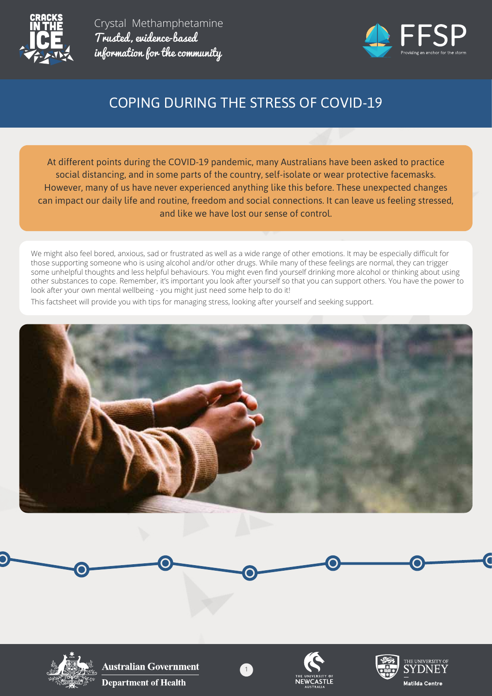



# COPING DURING THE STRESS OF COVID-19

At different points during the COVID-19 pandemic, many Australians have been asked to practice social distancing, and in some parts of the country, self-isolate or wear protective facemasks. However, many of us have never experienced anything like this before. These unexpected changes can impact our daily life and routine, freedom and social connections. It can leave us feeling stressed, and like we have lost our sense of control.

We might also feel bored, anxious, sad or frustrated as well as a wide range of other emotions. It may be especially difficult for those supporting someone who is using alcohol and/or other drugs. While many of these feelings are normal, they can trigger some unhelpful thoughts and less helpful behaviours. You might even find yourself drinking more alcohol or thinking about using other substances to cope. Remember, it's important you look after yourself so that you can support others. You have the power to look after your own mental wellbeing - you might just need some help to do it!

This factsheet will provide you with tips for managing stress, looking after yourself and seeking support.







**Australian Government Department of Health** 





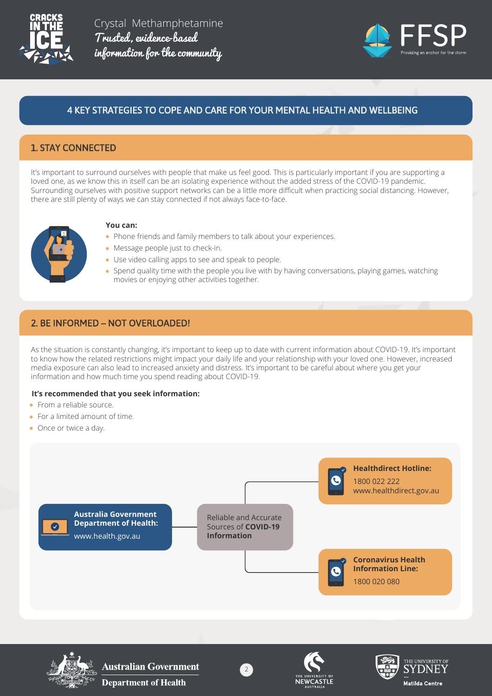



# 4 KEY STRATEGIES TO COPE AND CARE FOR YOUR MENTAL HEALTH AND WELLBEING

## 1. STAY CONNECTED

It's important to surround ourselves with people that make us feel good. This is particularly important if you are supporting a loved one, as we know this in itself can be an isolating experience without the added stress of the COVID-19 pandemic. Surrounding ourselves with positive support networks can be a little more difficult when practicing social distancing. However, there are still plenty of ways we can stay connected if not always face-to-face.



#### **You can:**

- Phone friends and family members to talk about your experiences.
- Message people just to check-in.
- Use video calling apps to see and speak to people.
- Spend quality time with the people you live with by having conversations, playing games, watching movies or enjoying other activities together.

#### 2. BE INFORMED – NOT OVERLOADED!

As the situation is constantly changing, it's important to keep up to date with current information about COVID-19. It's important to know how the related restrictions might impact your daily life and your relationship with your loved one. However, increased media exposure can also lead to increased anxiety and distress. It's important to be careful about where you get your information and how much time you spend reading about COVID-19.

#### **It's recommended that you seek information:**

- **•** From a reliable source.
- For a limited amount of time.
- Once or twice a day.





**Australian Government Department of Health** 



2



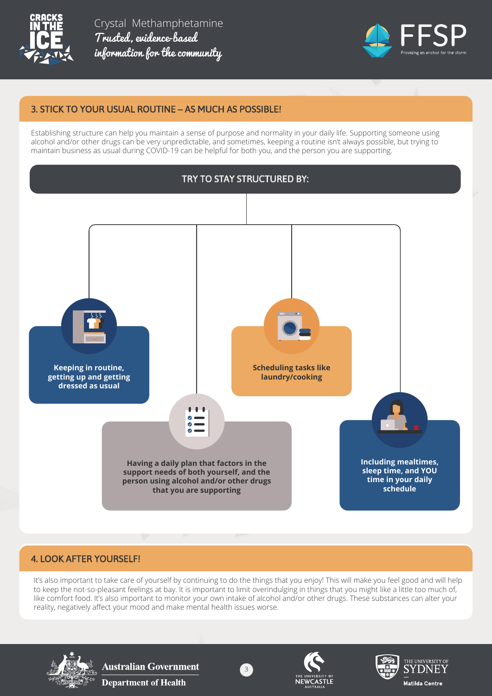



## 3. STICK TO YOUR USUAL ROUTINE – AS MUCH AS POSSIBLE!

Establishing structure can help you maintain a sense of purpose and normality in your daily life. Supporting someone using alcohol and/or other drugs can be very unpredictable, and sometimes, keeping a routine isn't always possible, but trying to maintain business as usual during COVID-19 can be helpful for both you, and the person you are supporting.



## 4. LOOK AFTER YOURSELF!

It's also important to take care of yourself by continuing to do the things that you enjoy! This will make you feel good and will help to keep the not-so-pleasant feelings at bay. It is important to limit overindulging in things that you might like a little too much of, like comfort food. It's also important to monitor your own intake of alcohol and/or other drugs. These substances can alter your reality, negatively affect your mood and make mental health issues worse.

3



**Australian Government Department of Health**